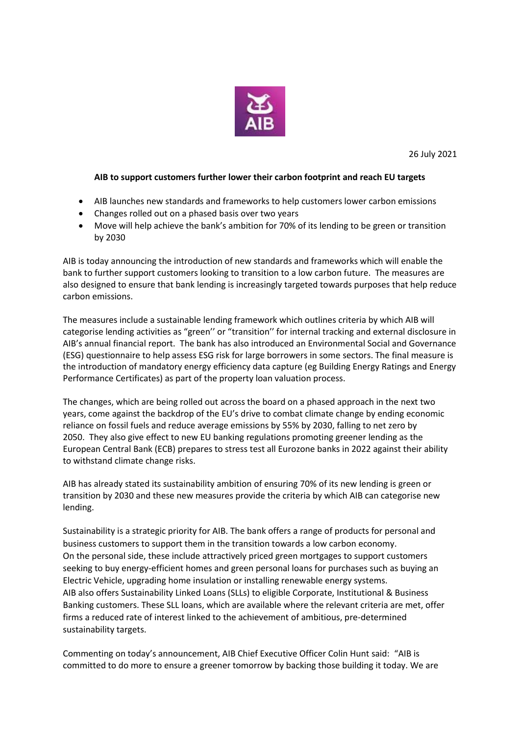

26 July 2021

## **AIB to support customers further lower their carbon footprint and reach EU targets**

- AIB launches new standards and frameworks to help customers lower carbon emissions
- Changes rolled out on a phased basis over two years
- Move will help achieve the bank's ambition for 70% of its lending to be green or transition by 2030

AIB is today announcing the introduction of new standards and frameworks which will enable the bank to further support customers looking to transition to a low carbon future. The measures are also designed to ensure that bank lending is increasingly targeted towards purposes that help reduce carbon emissions.

The measures include a sustainable lending framework which outlines criteria by which AIB will categorise lending activities as "green'' or "transition'' for internal tracking and external disclosure in AIB's annual financial report. The bank has also introduced an Environmental Social and Governance (ESG) questionnaire to help assess ESG risk for large borrowers in some sectors. The final measure is the introduction of mandatory energy efficiency data capture (eg Building Energy Ratings and Energy Performance Certificates) as part of the property loan valuation process.

The changes, which are being rolled out across the board on a phased approach in the next two years, come against the backdrop of the EU's drive to combat climate change by ending economic reliance on fossil fuels and reduce average emissions by 55% by 2030, falling to net zero by 2050. They also give effect to new EU banking regulations promoting greener lending as the European Central Bank (ECB) prepares to stress test all Eurozone banks in 2022 against their ability to withstand climate change risks.

AIB has already stated its sustainability ambition of ensuring 70% of its new lending is green or transition by 2030 and these new measures provide the criteria by which AIB can categorise new lending.

Sustainability is a strategic priority for AIB. The bank offers a range of products for personal and business customers to support them in the transition towards a low carbon economy. On the personal side, these include attractively priced green mortgages to support customers seeking to buy energy-efficient homes and green personal loans for purchases such as buying an Electric Vehicle, upgrading home insulation or installing renewable energy systems. AIB also offers Sustainability Linked Loans (SLLs) to eligible Corporate, Institutional & Business Banking customers. These SLL loans, which are available where the relevant criteria are met, offer firms a reduced rate of interest linked to the achievement of ambitious, pre-determined sustainability targets.

Commenting on today's announcement, AIB Chief Executive Officer Colin Hunt said: "AIB is committed to do more to ensure a greener tomorrow by backing those building it today. We are